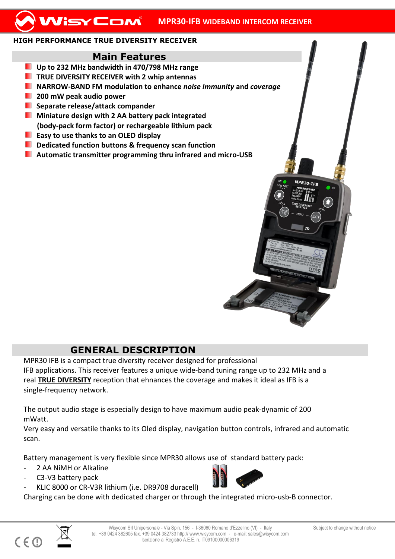## **HIGH PERFORMANCE TRUE DIVERSITY RECEIVER**

## **Main Features**

- **Up to 232 MHz bandwidth in 470/798 MHz range**
- **TRUE DIVERSITY RECEIVER with 2 whip antennas**
- **NARROW-BAND FM modulation to enhance** *noise immunity* **and** *coverage*
- **200 mW peak audio power**
- **Separate release/attack compander**
- **Miniature design with 2 AA battery pack integrated (body-pack form factor) or rechargeable lithium pack**
- **Easy to use thanks to an OLED display**
- **Dedicated function buttons & frequency scan function**
- **Automatic transmitter programming thru infrared and micro-USB**

## **GENERAL DESCRIPTION**

MPR30 IFB is a compact true diversity receiver designed for professional IFB applications. This receiver features a unique wide-band tuning range up to 232 MHz and a real **TRUE DIVERSITY** reception that ehnances the coverage and makes it ideal as IFB is a single-frequency network.

The output audio stage is especially design to have maximum audio peak-dynamic of 200 mWatt.

Very easy and versatile thanks to its Oled display, navigation button controls, infrared and automatic scan.

Battery management is very flexible since MPR30 allows use of standard battery pack:

- 2 AA NiMH or Alkaline
- C3-V3 battery pack
- KLIC 8000 or CR-V3R lithium (i.e. DR9708 duracell)

Charging can be done with dedicated charger or through the integrated micro-usb-B connector.





 $C \in \mathbb{C}$ 

**MPR30-TER**